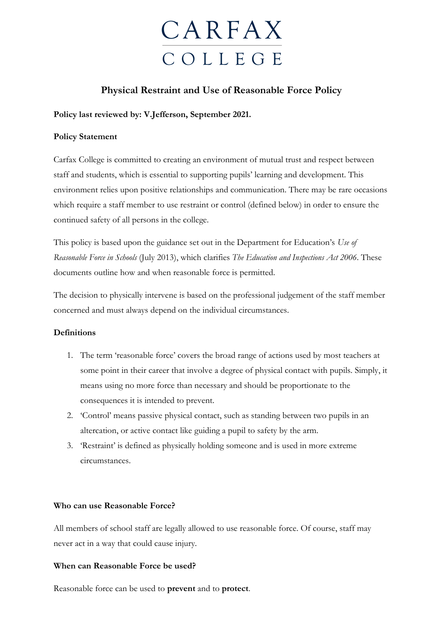# **CARFAX** C O L L E G E

### **Physical Restraint and Use of Reasonable Force Policy**

#### **Policy last reviewed by: V.Jefferson, September 2021.**

#### **Policy Statement**

Carfax College is committed to creating an environment of mutual trust and respect between staff and students, which is essential to supporting pupils' learning and development. This environment relies upon positive relationships and communication. There may be rare occasions which require a staff member to use restraint or control (defined below) in order to ensure the continued safety of all persons in the college.

This policy is based upon the guidance set out in the Department for Education's *Use of Reasonable Force in Schools* (July 2013), which clarifies *The Education and Inspections Act 2006*. These documents outline how and when reasonable force is permitted.

The decision to physically intervene is based on the professional judgement of the staff member concerned and must always depend on the individual circumstances.

#### **Definitions**

- 1. The term 'reasonable force' covers the broad range of actions used by most teachers at some point in their career that involve a degree of physical contact with pupils. Simply, it means using no more force than necessary and should be proportionate to the consequences it is intended to prevent.
- 2. 'Control' means passive physical contact, such as standing between two pupils in an altercation, or active contact like guiding a pupil to safety by the arm.
- 3. 'Restraint' is defined as physically holding someone and is used in more extreme circumstances.

#### **Who can use Reasonable Force?**

All members of school staff are legally allowed to use reasonable force. Of course, staff may never act in a way that could cause injury.

#### **When can Reasonable Force be used?**

Reasonable force can be used to **prevent** and to **protect**.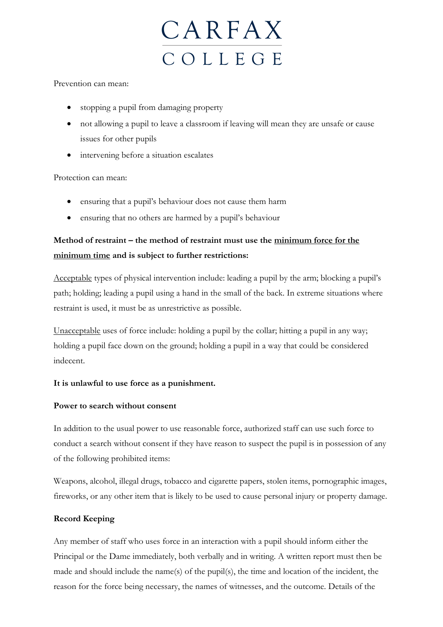

#### Prevention can mean:

- stopping a pupil from damaging property
- not allowing a pupil to leave a classroom if leaving will mean they are unsafe or cause issues for other pupils
- intervening before a situation escalates

#### Protection can mean:

- ensuring that a pupil's behaviour does not cause them harm
- ensuring that no others are harmed by a pupil's behaviour

## **Method of restraint – the method of restraint must use the minimum force for the minimum time and is subject to further restrictions:**

Acceptable types of physical intervention include: leading a pupil by the arm; blocking a pupil's path; holding; leading a pupil using a hand in the small of the back. In extreme situations where restraint is used, it must be as unrestrictive as possible.

Unacceptable uses of force include: holding a pupil by the collar; hitting a pupil in any way; holding a pupil face down on the ground; holding a pupil in a way that could be considered indecent.

#### **It is unlawful to use force as a punishment.**

#### **Power to search without consent**

In addition to the usual power to use reasonable force, authorized staff can use such force to conduct a search without consent if they have reason to suspect the pupil is in possession of any of the following prohibited items:

Weapons, alcohol, illegal drugs, tobacco and cigarette papers, stolen items, pornographic images, fireworks, or any other item that is likely to be used to cause personal injury or property damage.

#### **Record Keeping**

Any member of staff who uses force in an interaction with a pupil should inform either the Principal or the Dame immediately, both verbally and in writing. A written report must then be made and should include the name(s) of the pupil(s), the time and location of the incident, the reason for the force being necessary, the names of witnesses, and the outcome. Details of the